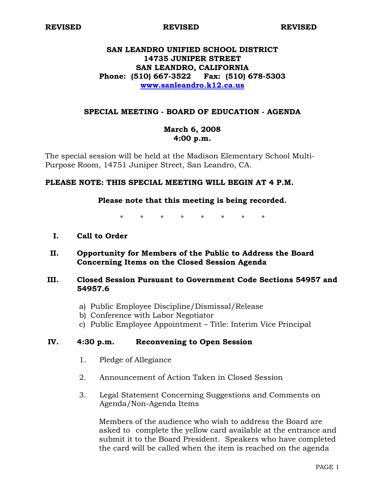**REVISED REVISED REVISED** 

## **SAN LEANDRO UNIFIED SCHOOL DISTRICT 14735 JUNIPER STREET SAN LEANDRO, CALIFORNIA Phone: (510) 667-3522 Fax: (510) 678-5303 www.sanleandro.k12.ca.us**

## **SPECIAL MEETING - BOARD OF EDUCATION - AGENDA**

## **March 6, 2008 4:00 p.m.**

The special session will be held at the Madison Elementary School Multi-Purpose Room, 14751 Juniper Street, San Leandro, CA.

#### **PLEASE NOTE: THIS SPECIAL MEETING WILL BEGIN AT 4 P.M.**

#### **Please note that this meeting is being recorded.**

\* \* \* \* \* \* \* \*

- **I. Call to Order**
- **II. Opportunity for Members of the Public to Address the Board Concerning Items on the Closed Session Agenda**

## **III. Closed Session Pursuant to Government Code Sections 54957 and 54957.6**

- a) Public Employee Discipline/Dismissal/Release
- b) Conference with Labor Negotiator
- c) Public Employee Appointment Title: Interim Vice Principal

#### **IV. 4:30 p.m. Reconvening to Open Session**

- 1. Pledge of Allegiance
- 2. Announcement of Action Taken in Closed Session
- 3. Legal Statement Concerning Suggestions and Comments on Agenda/Non-Agenda Items

 Members of the audience who wish to address the Board are asked to complete the yellow card available at the entrance and submit it to the Board President. Speakers who have completed the card will be called when the item is reached on the agenda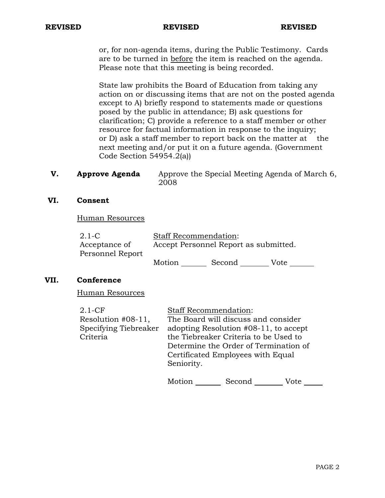#### **REVISED REVISED REVISED**

 or, for non-agenda items, during the Public Testimony. Cards are to be turned in before the item is reached on the agenda. Please note that this meeting is being recorded.

 State law prohibits the Board of Education from taking any action on or discussing items that are not on the posted agenda except to A) briefly respond to statements made or questions posed by the public in attendance; B) ask questions for clarification; C) provide a reference to a staff member or other resource for factual information in response to the inquiry; or D) ask a staff member to report back on the matter at the next meeting and/or put it on a future agenda. (Government Code Section 54954.2(a))

**V. Approve Agenda** Approve the Special Meeting Agenda of March 6, 2008

## **VI. Consent**

Human Resources

| $2.1 - C$        | <b>Staff Recommendation:</b>          |        |      |  |  |
|------------------|---------------------------------------|--------|------|--|--|
| Acceptance of    | Accept Personnel Report as submitted. |        |      |  |  |
| Personnel Report |                                       |        |      |  |  |
|                  | Motion                                | Second | Vote |  |  |

## **VII. Conference**

Human Resources

| $2.1-CF$              | <b>Staff Recommendation:</b>             |
|-----------------------|------------------------------------------|
| Resolution #08-11,    | The Board will discuss and consider      |
| Specifying Tiebreaker | adopting Resolution $#08-11$ , to accept |
| Criteria              | the Tiebreaker Criteria to be Used to    |
|                       | Determine the Order of Termination of    |
|                       | Certificated Employees with Equal        |
|                       | Seniority.                               |
|                       |                                          |

Motion Second Vote